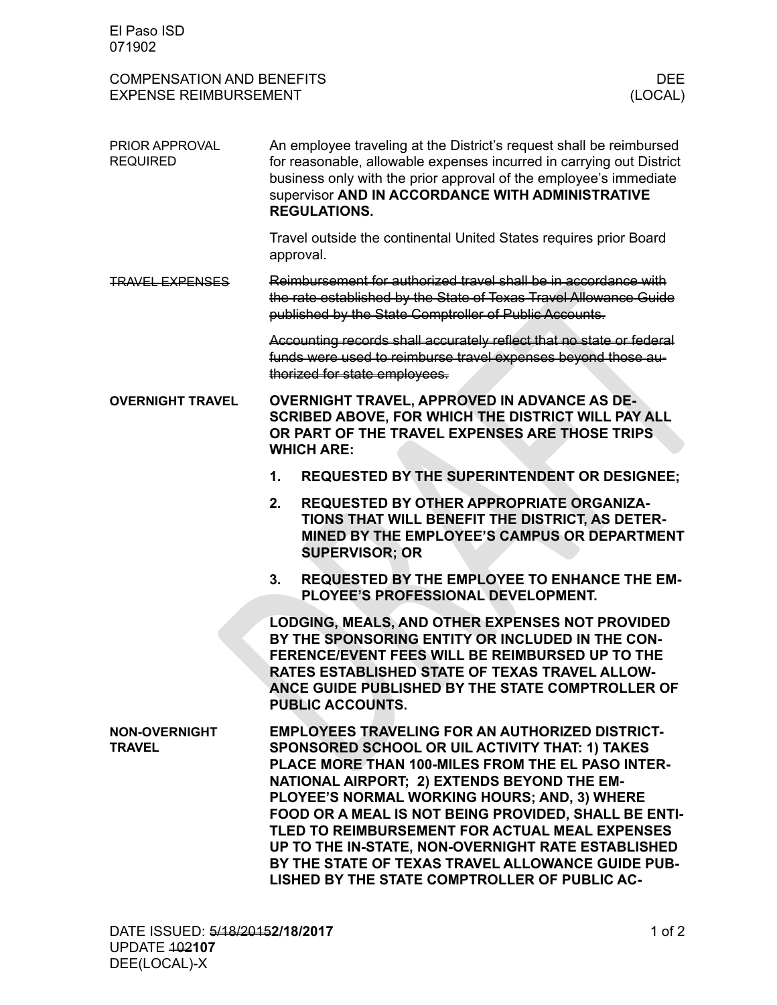| El Paso ISD<br>071902                                            |                                                                                                                                                                                                                                                                                                                                                                                                                                                                                                                                     |                                                                                                                                                                             |                 |
|------------------------------------------------------------------|-------------------------------------------------------------------------------------------------------------------------------------------------------------------------------------------------------------------------------------------------------------------------------------------------------------------------------------------------------------------------------------------------------------------------------------------------------------------------------------------------------------------------------------|-----------------------------------------------------------------------------------------------------------------------------------------------------------------------------|-----------------|
| <b>COMPENSATION AND BENEFITS</b><br><b>EXPENSE REIMBURSEMENT</b> |                                                                                                                                                                                                                                                                                                                                                                                                                                                                                                                                     |                                                                                                                                                                             | DEE.<br>(LOCAL) |
| PRIOR APPROVAL<br><b>REQUIRED</b>                                | An employee traveling at the District's request shall be reimbursed<br>for reasonable, allowable expenses incurred in carrying out District<br>business only with the prior approval of the employee's immediate<br>supervisor AND IN ACCORDANCE WITH ADMINISTRATIVE<br><b>REGULATIONS.</b>                                                                                                                                                                                                                                         |                                                                                                                                                                             |                 |
|                                                                  |                                                                                                                                                                                                                                                                                                                                                                                                                                                                                                                                     | Travel outside the continental United States requires prior Board<br>approval.                                                                                              |                 |
| <u> FRAVEL EXPENSES</u>                                          | Reimbursement for authorized travel shall be in accordance with<br>the rate established by the State of Texas Travel Allowance Guide<br>published by the State Comptroller of Public Accounts.                                                                                                                                                                                                                                                                                                                                      |                                                                                                                                                                             |                 |
|                                                                  | Accounting records shall accurately reflect that no state or federal<br>funds were used to reimburse travel expenses beyond those au-<br>thorized for state employees.                                                                                                                                                                                                                                                                                                                                                              |                                                                                                                                                                             |                 |
| <b>OVERNIGHT TRAVEL</b>                                          | <b>OVERNIGHT TRAVEL, APPROVED IN ADVANCE AS DE-</b><br>SCRIBED ABOVE, FOR WHICH THE DISTRICT WILL PAY ALL<br>OR PART OF THE TRAVEL EXPENSES ARE THOSE TRIPS<br><b>WHICH ARE:</b>                                                                                                                                                                                                                                                                                                                                                    |                                                                                                                                                                             |                 |
|                                                                  | 1.                                                                                                                                                                                                                                                                                                                                                                                                                                                                                                                                  | <b>REQUESTED BY THE SUPERINTENDENT OR DESIGNEE;</b>                                                                                                                         |                 |
|                                                                  | 2.                                                                                                                                                                                                                                                                                                                                                                                                                                                                                                                                  | <b>REQUESTED BY OTHER APPROPRIATE ORGANIZA-</b><br>TIONS THAT WILL BENEFIT THE DISTRICT, AS DETER-<br>MINED BY THE EMPLOYEE'S CAMPUS OR DEPARTMENT<br><b>SUPERVISOR; OR</b> |                 |
|                                                                  | 3.                                                                                                                                                                                                                                                                                                                                                                                                                                                                                                                                  | <b>REQUESTED BY THE EMPLOYEE TO ENHANCE THE EM-</b><br>PLOYEE'S PROFESSIONAL DEVELOPMENT.                                                                                   |                 |
|                                                                  | <b>LODGING, MEALS, AND OTHER EXPENSES NOT PROVIDED</b><br>BY THE SPONSORING ENTITY OR INCLUDED IN THE CON-<br>FERENCE/EVENT FEES WILL BE REIMBURSED UP TO THE<br>RATES ESTABLISHED STATE OF TEXAS TRAVEL ALLOW-<br>ANCE GUIDE PUBLISHED BY THE STATE COMPTROLLER OF<br><b>PUBLIC ACCOUNTS.</b>                                                                                                                                                                                                                                      |                                                                                                                                                                             |                 |
| <b>NON-OVERNIGHT</b><br><b>TRAVEL</b>                            | <b>EMPLOYEES TRAVELING FOR AN AUTHORIZED DISTRICT-</b><br>SPONSORED SCHOOL OR UIL ACTIVITY THAT: 1) TAKES<br>PLACE MORE THAN 100-MILES FROM THE EL PASO INTER-<br>NATIONAL AIRPORT; 2) EXTENDS BEYOND THE EM-<br>PLOYEE'S NORMAL WORKING HOURS; AND, 3) WHERE<br>FOOD OR A MEAL IS NOT BEING PROVIDED, SHALL BE ENTI-<br>TLED TO REIMBURSEMENT FOR ACTUAL MEAL EXPENSES<br>UP TO THE IN-STATE, NON-OVERNIGHT RATE ESTABLISHED<br>BY THE STATE OF TEXAS TRAVEL ALLOWANCE GUIDE PUB-<br>LISHED BY THE STATE COMPTROLLER OF PUBLIC AC- |                                                                                                                                                                             |                 |